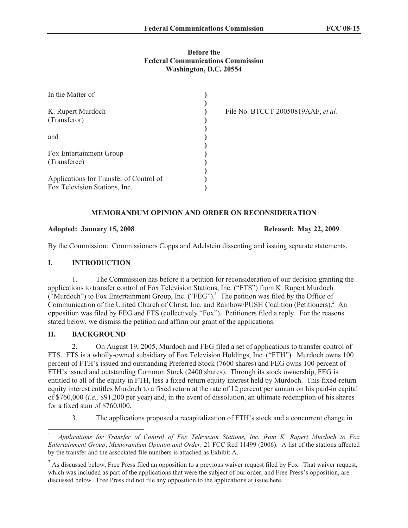## **Before the Federal Communications Commission Washington, D.C. 20554**

| In the Matter of                                                         |  |
|--------------------------------------------------------------------------|--|
| K. Rupert Murdoch<br>(Transferor)                                        |  |
| and                                                                      |  |
| Fox Entertainment Group<br>(Transferee)                                  |  |
| Applications for Transfer of Control of<br>Fox Television Stations, Inc. |  |

File No. BTCCT-20050819AAF, *et al.*

## **MEMORANDUM OPINION AND ORDER ON RECONSIDERATION**

## **Adopted: January 15, 2008 Released: May 22, 2009**

By the Commission: Commissioners Copps and Adelstein dissenting and issuing separate statements.

# **I. INTRODUCTION**

1. The Commission has before it a petition for reconsideration of our decision granting the applications to transfer control of Fox Television Stations, Inc. ("FTS") from K. Rupert Murdoch ("Murdoch") to Fox Entertainment Group, Inc. ("FEG").<sup>1</sup> The petition was filed by the Office of Communication of the United Church of Christ, Inc. and Rainbow/PUSH Coalition (Petitioners).<sup>2</sup> An opposition was filed by FEG and FTS (collectively "Fox"). Petitioners filed a reply. For the reasons stated below, we dismiss the petition and affirm our grant of the applications.

# **II. BACKGROUND**

2. On August 19, 2005, Murdoch and FEG filed a set of applications to transfer control of FTS. FTS is a wholly-owned subsidiary of Fox Television Holdings, Inc. ("FTH"). Murdoch owns 100 percent of FTH's issued and outstanding Preferred Stock (7600 shares) and FEG owns 100 percent of FTH's issued and outstanding Common Stock (2400 shares). Through its stock ownership, FEG is entitled to all of the equity in FTH, less a fixed-return equity interest held by Murdoch. This fixed-return equity interest entitles Murdoch to a fixed return at the rate of 12 percent per annum on his paid-in capital of \$760,000 (*i.e.,* \$91,200 per year) and, in the event of dissolution, an ultimate redemption of his shares for a fixed sum of \$760,000.

3. The applications proposed a recapitalization of FTH's stock and a concurrent change in

<sup>1</sup> *Applications for Transfer of Control of Fox Television Stations, Inc. from K. Rupert Murdoch to Fox Entertainment Group*, *Memorandum Opinion and Order,* 21 FCC Rcd 11499 (2006). A list of the stations affected by the transfer and the associated file numbers is attached as Exhibit A.

<sup>&</sup>lt;sup>2</sup> As discussed below, Free Press filed an opposition to a previous waiver request filed by Fox. That waiver request, which was included as part of the applications that were the subject of our order, and Free Press's opposition, are discussed below. Free Press did not file any opposition to the applications at issue here.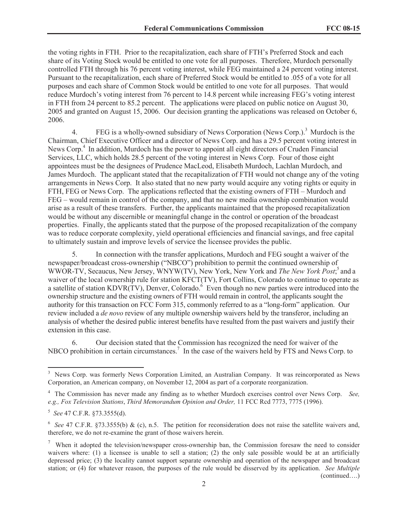the voting rights in FTH. Prior to the recapitalization, each share of FTH's Preferred Stock and each share of its Voting Stock would be entitled to one vote for all purposes. Therefore, Murdoch personally controlled FTH through his 76 percent voting interest, while FEG maintained a 24 percent voting interest. Pursuant to the recapitalization, each share of Preferred Stock would be entitled to .055 of a vote for all purposes and each share of Common Stock would be entitled to one vote for all purposes. That would reduce Murdoch's voting interest from 76 percent to 14.8 percent while increasing FEG's voting interest in FTH from 24 percent to 85.2 percent. The applications were placed on public notice on August 30, 2005 and granted on August 15, 2006. Our decision granting the applications was released on October 6, 2006.

4. FEG is a wholly-owned subsidiary of News Corporation (News Corp.).<sup>3</sup> Murdoch is the Chairman, Chief Executive Officer and a director of News Corp. and has a 29.5 percent voting interest in News Corp.<sup>4</sup> In addition, Murdoch has the power to appoint all eight directors of Cruden Financial Services, LLC, which holds 28.5 percent of the voting interest in News Corp. Four of those eight appointees must be the designees of Prudence MacLeod, Elisabeth Murdoch, Lachlan Murdoch, and James Murdoch. The applicant stated that the recapitalization of FTH would not change any of the voting arrangements in News Corp. It also stated that no new party would acquire any voting rights or equity in FTH, FEG or News Corp. The applications reflected that the existing owners of FTH – Murdoch and FEG – would remain in control of the company, and that no new media ownership combination would arise as a result of these transfers. Further, the applicants maintained that the proposed recapitalization would be without any discernible or meaningful change in the control or operation of the broadcast properties. Finally, the applicants stated that the purpose of the proposed recapitalization of the company was to reduce corporate complexity, yield operational efficiencies and financial savings, and free capital to ultimately sustain and improve levels of service the licensee provides the public.

5. In connection with the transfer applications, Murdoch and FEG sought a waiver of the newspaper/broadcast cross-ownership ("NBCO") prohibition to permit the continued ownership of WWOR-TV, Secaucus, New Jersey, WNYW(TV), New York, New York and *The New York Post*;<sup>5</sup> and a waiver of the local ownership rule for station KFCT(TV). Fort Collins, Colorado to continue to operate as a satellite of station KDVR(TV), Denver, Colorado.<sup>6</sup> Even though no new parties were introduced into the ownership structure and the existing owners of FTH would remain in control, the applicants sought the authority for this transaction on FCC Form 315, commonly referred to as a "long-form" application. Our review included a *de novo* review of any multiple ownership waivers held by the transferor, including an analysis of whether the desired public interest benefits have resulted from the past waivers and justify their extension in this case.

6. Our decision stated that the Commission has recognized the need for waiver of the NBCO prohibition in certain circumstances.<sup>7</sup> In the case of the waivers held by FTS and News Corp. to

<sup>&</sup>lt;sup>3</sup> News Corp. was formerly News Corporation Limited, an Australian Company. It was reincorporated as News Corporation, an American company, on November 12, 2004 as part of a corporate reorganization.

<sup>4</sup> The Commission has never made any finding as to whether Murdoch exercises control over News Corp. *See, e.g., Fox Television Stations*, *Third Memorandum Opinion and Order,* 11 FCC Rcd 7773, 7775 (1996).

<sup>5</sup> *See* 47 C.F.R. §73.3555(d).

<sup>&</sup>lt;sup>6</sup> See 47 C.F.R. §73.3555(b) & (c), n.5. The petition for reconsideration does not raise the satellite waivers and, therefore, we do not re-examine the grant of those waivers herein.

<sup>&</sup>lt;sup>7</sup> When it adopted the television/newspaper cross-ownership ban, the Commission foresaw the need to consider waivers where: (1) a licensee is unable to sell a station; (2) the only sale possible would be at an artificially depressed price; (3) the locality cannot support separate ownership and operation of the newspaper and broadcast station; or (4) for whatever reason, the purposes of the rule would be disserved by its application. *See Multiple*  (continued….)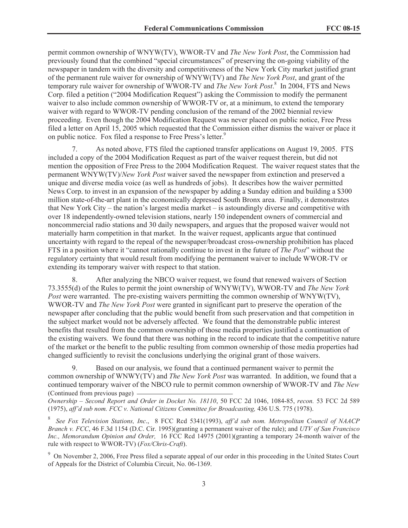permit common ownership of WNYW(TV), WWOR-TV and *The New York Post*, the Commission had previously found that the combined "special circumstances" of preserving the on-going viability of the newspaper in tandem with the diversity and competitiveness of the New York City market justified grant of the permanent rule waiver for ownership of WNYW(TV) and *The New York Post*, and grant of the temporary rule waiver for ownership of WWOR-TV and *The New York Post*. 8 In 2004, FTS and News Corp. filed a petition ("2004 Modification Request") asking the Commission to modify the permanent waiver to also include common ownership of WWOR-TV or, at a minimum, to extend the temporary waiver with regard to WWOR-TV pending conclusion of the remand of the 2002 biennial review proceeding. Even though the 2004 Modification Request was never placed on public notice, Free Press filed a letter on April 15, 2005 which requested that the Commission either dismiss the waiver or place it on public notice. Fox filed a response to Free Press's letter.<sup>9</sup>

7. As noted above, FTS filed the captioned transfer applications on August 19, 2005. FTS included a copy of the 2004 Modification Request as part of the waiver request therein, but did not mention the opposition of Free Press to the 2004 Modification Request. The waiver request states that the permanent WNYW(TV)/*New York Post* waiver saved the newspaper from extinction and preserved a unique and diverse media voice (as well as hundreds of jobs). It describes how the waiver permitted News Corp. to invest in an expansion of the newspaper by adding a Sunday edition and building a \$300 million state-of-the-art plant in the economically depressed South Bronx area. Finally, it demonstrates that New York City – the nation's largest media market – is astoundingly diverse and competitive with over 18 independently-owned television stations, nearly 150 independent owners of commercial and noncommercial radio stations and 30 daily newspapers, and argues that the proposed waiver would not materially harm competition in that market. In the waiver request, applicants argue that continued uncertainty with regard to the repeal of the newspaper/broadcast cross-ownership prohibition has placed FTS in a position where it "cannot rationally continue to invest in the future of *The Post*" without the regulatory certainty that would result from modifying the permanent waiver to include WWOR-TV or extending its temporary waiver with respect to that station.

8. After analyzing the NBCO waiver request, we found that renewed waivers of Section 73.3555(d) of the Rules to permit the joint ownership of WNYW(TV), WWOR-TV and *The New York Post* were warranted. The pre-existing waivers permitting the common ownership of WNYW(TV), WWOR-TV and *The New York Post* were granted in significant part to preserve the operation of the newspaper after concluding that the public would benefit from such preservation and that competition in the subject market would not be adversely affected. We found that the demonstrable public interest benefits that resulted from the common ownership of those media properties justified a continuation of the existing waivers. We found that there was nothing in the record to indicate that the competitive nature of the market or the benefit to the public resulting from common ownership of those media properties had changed sufficiently to revisit the conclusions underlying the original grant of those waivers.

9. Based on our analysis, we found that a continued permanent waiver to permit the common ownership of WNWY(TV) and *The New York Post* was warranted. In addition, we found that a continued temporary waiver of the NBCO rule to permit common ownership of WWOR-TV and *The New*  (Continued from previous page)

*Ownership – Second Report and Order in Docket No. 18110*, 50 FCC 2d 1046, 1084-85, *recon.* 53 FCC 2d 589 (1975), *aff'd sub nom. FCC v. National Citizens Committee for Broadcasting,* 436 U.S. 775 (1978).

8 *See Fox Television Stations, Inc*., 8 FCC Rcd 5341(1993), *aff'd sub nom. Metropolitan Council of NAACP Branch v. FCC*, 46 F.3d 1154 (D.C. Cir. 1995)(granting a permanent waiver of the rule); and *UTV of San Francisco Inc., Memorandum Opinion and Order,* 16 FCC Rcd 14975 (2001)(granting a temporary 24-month waiver of the rule with respect to WWOR-TV) (*Fox/Chris-Craft*).

<sup>9</sup> On November 2, 2006, Free Press filed a separate appeal of our order in this proceeding in the United States Court of Appeals for the District of Columbia Circuit, No. 06-1369.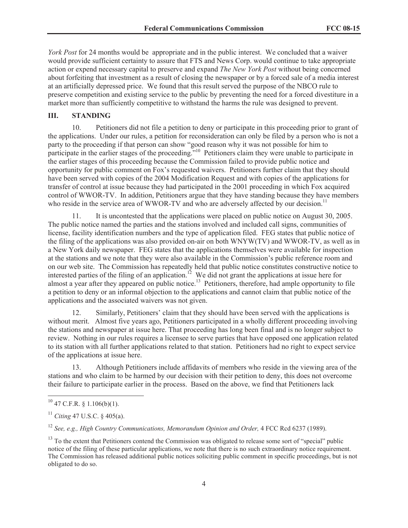*York Post* for 24 months would be appropriate and in the public interest. We concluded that a waiver would provide sufficient certainty to assure that FTS and News Corp. would continue to take appropriate action or expend necessary capital to preserve and expand *The New York Post* without being concerned about forfeiting that investment as a result of closing the newspaper or by a forced sale of a media interest at an artificially depressed price. We found that this result served the purpose of the NBCO rule to preserve competition and existing service to the public by preventing the need for a forced divestiture in a market more than sufficiently competitive to withstand the harms the rule was designed to prevent.

#### **III. STANDING**

10. Petitioners did not file a petition to deny or participate in this proceeding prior to grant of the applications. Under our rules, a petition for reconsideration can only be filed by a person who is not a party to the proceeding if that person can show "good reason why it was not possible for him to participate in the earlier stages of the proceeding.<sup>"10</sup> Petitioners claim they were unable to participate in the earlier stages of this proceeding because the Commission failed to provide public notice and opportunity for public comment on Fox's requested waivers. Petitioners further claim that they should have been served with copies of the 2004 Modification Request and with copies of the applications for transfer of control at issue because they had participated in the 2001 proceeding in which Fox acquired control of WWOR-TV. In addition, Petitioners argue that they have standing because they have members who reside in the service area of WWOR-TV and who are adversely affected by our decision.<sup>11</sup>

11. It is uncontested that the applications were placed on public notice on August 30, 2005. The public notice named the parties and the stations involved and included call signs, communities of license, facility identification numbers and the type of application filed. FEG states that public notice of the filing of the applications was also provided on-air on both WNYW(TV) and WWOR-TV, as well as in a New York daily newspaper. FEG states that the applications themselves were available for inspection at the stations and we note that they were also available in the Commission's public reference room and on our web site. The Commission has repeatedly held that public notice constitutes constructive notice to interested parties of the filing of an application.<sup>12</sup> We did not grant the applications at issue here for almost a year after they appeared on public notice.<sup>13</sup> Petitioners, therefore, had ample opportunity to file a petition to deny or an informal objection to the applications and cannot claim that public notice of the applications and the associated waivers was not given.

12. Similarly, Petitioners' claim that they should have been served with the applications is without merit. Almost five years ago, Petitioners participated in a wholly different proceeding involving the stations and newspaper at issue here. That proceeding has long been final and is no longer subject to review. Nothing in our rules requires a licensee to serve parties that have opposed one application related to its station with all further applications related to that station. Petitioners had no right to expect service of the applications at issue here.

13. Although Petitioners include affidavits of members who reside in the viewing area of the stations and who claim to be harmed by our decision with their petition to deny, this does not overcome their failure to participate earlier in the process. Based on the above, we find that Petitioners lack

 $10^{10}$  47 C.F.R. § 1.106(b)(1).

<sup>11</sup> *Citing* 47 U.S.C. § 405(a).

<sup>12</sup> *See, e.g., High Country Communications, Memorandum Opinion and Order,* 4 FCC Rcd 6237 (1989).

<sup>&</sup>lt;sup>13</sup> To the extent that Petitioners contend the Commission was obligated to release some sort of "special" public notice of the filing of these particular applications, we note that there is no such extraordinary notice requirement. The Commission has released additional public notices soliciting public comment in specific proceedings, but is not obligated to do so.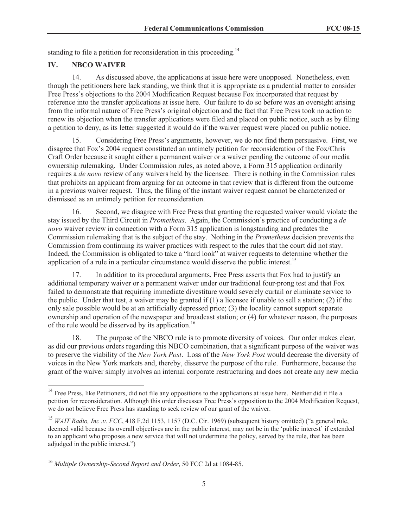standing to file a petition for reconsideration in this proceeding.<sup>14</sup>

#### **IV. NBCO WAIVER**

14. As discussed above, the applications at issue here were unopposed. Nonetheless, even though the petitioners here lack standing, we think that it is appropriate as a prudential matter to consider Free Press's objections to the 2004 Modification Request because Fox incorporated that request by reference into the transfer applications at issue here. Our failure to do so before was an oversight arising from the informal nature of Free Press's original objection and the fact that Free Press took no action to renew its objection when the transfer applications were filed and placed on public notice, such as by filing a petition to deny, as its letter suggested it would do if the waiver request were placed on public notice.

15. Considering Free Press's arguments, however, we do not find them persuasive. First, we disagree that Fox's 2004 request constituted an untimely petition for reconsideration of the Fox/Chris Craft Order because it sought either a permanent waiver or a waiver pending the outcome of our media ownership rulemaking. Under Commission rules, as noted above, a Form 315 application ordinarily requires a *de novo* review of any waivers held by the licensee. There is nothing in the Commission rules that prohibits an applicant from arguing for an outcome in that review that is different from the outcome in a previous waiver request. Thus, the filing of the instant waiver request cannot be characterized or dismissed as an untimely petition for reconsideration.

16. Second, we disagree with Free Press that granting the requested waiver would violate the stay issued by the Third Circuit in *Prometheus*. Again, the Commission's practice of conducting a *de novo* waiver review in connection with a Form 315 application is longstanding and predates the Commission rulemaking that is the subject of the stay. Nothing in the *Prometheus* decision prevents the Commission from continuing its waiver practices with respect to the rules that the court did not stay. Indeed, the Commission is obligated to take a "hard look" at waiver requests to determine whether the application of a rule in a particular circumstance would disserve the public interest.<sup>15</sup>

17. In addition to its procedural arguments, Free Press asserts that Fox had to justify an additional temporary waiver or a permanent waiver under our traditional four-prong test and that Fox failed to demonstrate that requiring immediate divestiture would severely curtail or eliminate service to the public. Under that test, a waiver may be granted if (1) a licensee if unable to sell a station; (2) if the only sale possible would be at an artificially depressed price; (3) the locality cannot support separate ownership and operation of the newspaper and broadcast station; or (4) for whatever reason, the purposes of the rule would be disserved by its application.<sup>16</sup>

18. The purpose of the NBCO rule is to promote diversity of voices. Our order makes clear, as did our previous orders regarding this NBCO combination, that a significant purpose of the waiver was to preserve the viability of the *New York Post*. Loss of the *New York Post* would decrease the diversity of voices in the New York markets and, thereby, disserve the purpose of the rule. Furthermore, because the grant of the waiver simply involves an internal corporate restructuring and does not create any new media

<sup>&</sup>lt;sup>14</sup> Free Press, like Petitioners, did not file any oppositions to the applications at issue here. Neither did it file a petition for reconsideration. Although this order discusses Free Press's opposition to the 2004 Modification Request, we do not believe Free Press has standing to seek review of our grant of the waiver.

<sup>&</sup>lt;sup>15</sup> *WAIT Radio, Inc.v. FCC*, 418 F.2d 1153, 1157 (D.C. Cir. 1969) (subsequent history omitted) ("a general rule, deemed valid because its overall objectives are in the public interest, may not be in the 'public interest' if extended to an applicant who proposes a new service that will not undermine the policy, served by the rule, that has been adjudged in the public interest.")

<sup>16</sup> *Multiple Ownership-Second Report and Order*, 50 FCC 2d at 1084-85.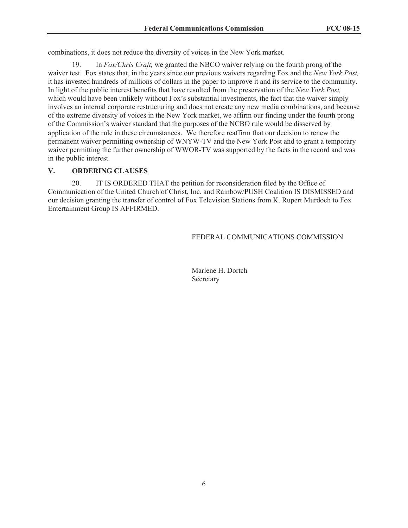combinations, it does not reduce the diversity of voices in the New York market.

19. In *Fox/Chris Craft,* we granted the NBCO waiver relying on the fourth prong of the waiver test. Fox states that, in the years since our previous waivers regarding Fox and the *New York Post,*  it has invested hundreds of millions of dollars in the paper to improve it and its service to the community. In light of the public interest benefits that have resulted from the preservation of the *New York Post,*  which would have been unlikely without Fox's substantial investments, the fact that the waiver simply involves an internal corporate restructuring and does not create any new media combinations, and because of the extreme diversity of voices in the New York market, we affirm our finding under the fourth prong of the Commission's waiver standard that the purposes of the NCBO rule would be disserved by application of the rule in these circumstances. We therefore reaffirm that our decision to renew the permanent waiver permitting ownership of WNYW-TV and the New York Post and to grant a temporary waiver permitting the further ownership of WWOR-TV was supported by the facts in the record and was in the public interest.

## **V. ORDERING CLAUSES**

20. IT IS ORDERED THAT the petition for reconsideration filed by the Office of Communication of the United Church of Christ, Inc. and Rainbow/PUSH Coalition IS DISMISSED and our decision granting the transfer of control of Fox Television Stations from K. Rupert Murdoch to Fox Entertainment Group IS AFFIRMED.

## FEDERAL COMMUNICATIONS COMMISSION

Marlene H. Dortch Secretary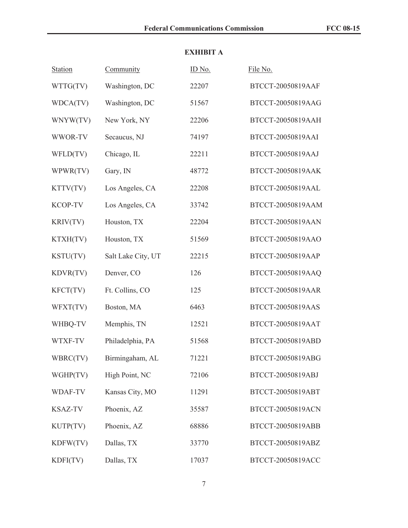# **EXHIBIT A**

| <b>Station</b>  | Community          | ID No. | File No.          |
|-----------------|--------------------|--------|-------------------|
| WTTG(TV)        | Washington, DC     | 22207  | BTCCT-20050819AAF |
| WDCA(TV)        | Washington, DC     | 51567  | BTCCT-20050819AAG |
| WNYW(TV)        | New York, NY       | 22206  | BTCCT-20050819AAH |
| WWOR-TV         | Secaucus, NJ       | 74197  | BTCCT-20050819AAI |
| WFLD(TV)        | Chicago, IL        | 22211  | BTCCT-20050819AAJ |
| WPWR(TV)        | Gary, IN           | 48772  | BTCCT-20050819AAK |
| KTTV(TV)        | Los Angeles, CA    | 22208  | BTCCT-20050819AAL |
| <b>KCOP-TV</b>  | Los Angeles, CA    | 33742  | BTCCT-20050819AAM |
| <b>KRIV(TV)</b> | Houston, TX        | 22204  | BTCCT-20050819AAN |
| KTXH(TV)        | Houston, TX        | 51569  | BTCCT-20050819AAO |
| KSTU(TV)        | Salt Lake City, UT | 22215  | BTCCT-20050819AAP |
| KDVR(TV)        | Denver, CO         | 126    | BTCCT-20050819AAQ |
| KFCT(TV)        | Ft. Collins, CO    | 125    | BTCCT-20050819AAR |
| WFXT(TV)        | Boston, MA         | 6463   | BTCCT-20050819AAS |
| WHBQ-TV         | Memphis, TN        | 12521  | BTCCT-20050819AAT |
| WTXF-TV         | Philadelphia, PA   | 51568  | BTCCT-20050819ABD |
| WBRC(TV)        | Birmingaham, AL    | 71221  | BTCCT-20050819ABG |
| WGHP(TV)        | High Point, NC     | 72106  | BTCCT-20050819ABJ |
| WDAF-TV         | Kansas City, MO    | 11291  | BTCCT-20050819ABT |
| <b>KSAZ-TV</b>  | Phoenix, AZ        | 35587  | BTCCT-20050819ACN |
| KUTP(TV)        | Phoenix, AZ        | 68886  | BTCCT-20050819ABB |
| KDFW(TV)        | Dallas, TX         | 33770  | BTCCT-20050819ABZ |
| KDFI(TV)        | Dallas, TX         | 17037  | BTCCT-20050819ACC |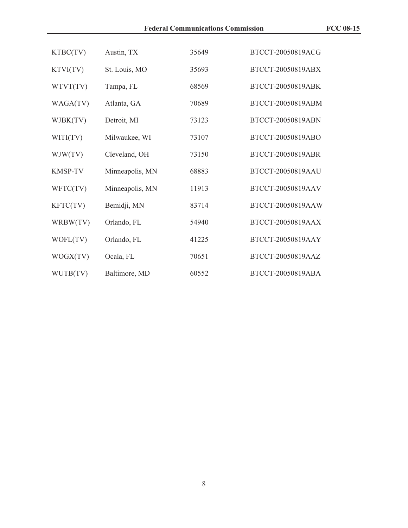| KTBC(TV)       | Austin, TX      | 35649 | BTCCT-20050819ACG |
|----------------|-----------------|-------|-------------------|
| KTVI(TV)       | St. Louis, MO   | 35693 | BTCCT-20050819ABX |
| WTVT(TV)       | Tampa, FL       | 68569 | BTCCT-20050819ABK |
| WAGA(TV)       | Atlanta, GA     | 70689 | BTCCT-20050819ABM |
| WJBK(TV)       | Detroit, MI     | 73123 | BTCCT-20050819ABN |
| WITI(TV)       | Milwaukee, WI   | 73107 | BTCCT-20050819ABO |
| WJW(TV)        | Cleveland, OH   | 73150 | BTCCT-20050819ABR |
| <b>KMSP-TV</b> | Minneapolis, MN | 68883 | BTCCT-20050819AAU |
| WFTC(TV)       | Minneapolis, MN | 11913 | BTCCT-20050819AAV |
| KFTC(TV)       | Bemidji, MN     | 83714 | BTCCT-20050819AAW |
| WRBW(TV)       | Orlando, FL     | 54940 | BTCCT-20050819AAX |
| WOFL(TV)       | Orlando, FL     | 41225 | BTCCT-20050819AAY |
| WOGX(TV)       | Ocala, FL       | 70651 | BTCCT-20050819AAZ |
| WUTB(TV)       | Baltimore, MD   | 60552 | BTCCT-20050819ABA |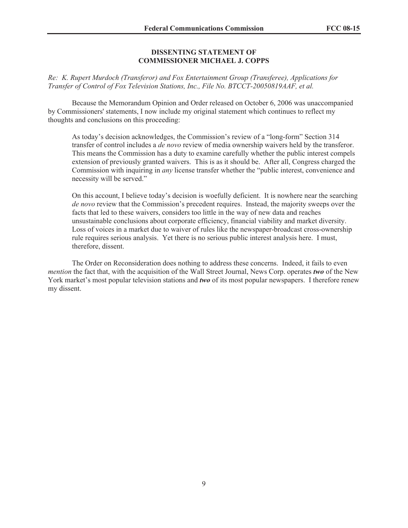#### **DISSENTING STATEMENT OF COMMISSIONER MICHAEL J. COPPS**

*Re: K. Rupert Murdoch (Transferor) and Fox Entertainment Group (Transferee), Applications for Transfer of Control of Fox Television Stations, Inc., File No. BTCCT-20050819AAF, et al.*

Because the Memorandum Opinion and Order released on October 6, 2006 was unaccompanied by Commissioners' statements, I now include my original statement which continues to reflect my thoughts and conclusions on this proceeding:

As today's decision acknowledges, the Commission's review of a "long-form" Section 314 transfer of control includes a *de novo* review of media ownership waivers held by the transferor. This means the Commission has a duty to examine carefully whether the public interest compels extension of previously granted waivers. This is as it should be. After all, Congress charged the Commission with inquiring in *any* license transfer whether the "public interest, convenience and necessity will be served."

On this account, I believe today's decision is woefully deficient. It is nowhere near the searching *de novo* review that the Commission's precedent requires. Instead, the majority sweeps over the facts that led to these waivers, considers too little in the way of new data and reaches unsustainable conclusions about corporate efficiency, financial viability and market diversity. Loss of voices in a market due to waiver of rules like the newspaper-broadcast cross-ownership rule requires serious analysis. Yet there is no serious public interest analysis here. I must, therefore, dissent.

The Order on Reconsideration does nothing to address these concerns. Indeed, it fails to even *mention* the fact that, with the acquisition of the Wall Street Journal, News Corp. operates *two* of the New York market's most popular television stations and *two* of its most popular newspapers. I therefore renew my dissent.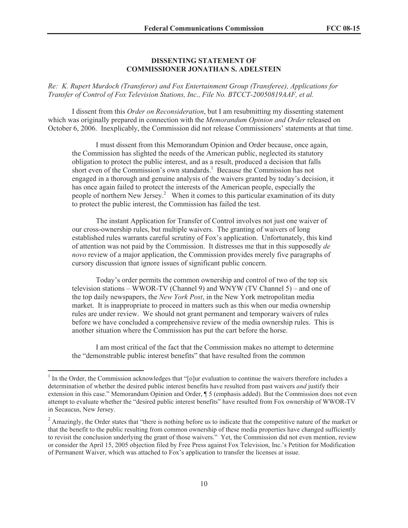#### **DISSENTING STATEMENT OF COMMISSIONER JONATHAN S. ADELSTEIN**

*Re: K. Rupert Murdoch (Transferor) and Fox Entertainment Group (Transferee), Applications for Transfer of Control of Fox Television Stations, Inc., File No. BTCCT-20050819AAF, et al.*

I dissent from this *Order on Reconsideration*, but I am resubmitting my dissenting statement which was originally prepared in connection with the *Memorandum Opinion and Order* released on October 6, 2006. Inexplicably, the Commission did not release Commissioners' statements at that time.

I must dissent from this Memorandum Opinion and Order because, once again, the Commission has slighted the needs of the American public, neglected its statutory obligation to protect the public interest, and as a result, produced a decision that falls short even of the Commission's own standards.<sup>1</sup> Because the Commission has not engaged in a thorough and genuine analysis of the waivers granted by today's decision, it has once again failed to protect the interests of the American people, especially the people of northern New Jersey.<sup>2</sup> When it comes to this particular examination of its duty to protect the public interest, the Commission has failed the test.

The instant Application for Transfer of Control involves not just one waiver of our cross-ownership rules, but multiple waivers. The granting of waivers of long established rules warrants careful scrutiny of Fox's application. Unfortunately, this kind of attention was not paid by the Commission. It distresses me that in this supposedly *de novo* review of a major application, the Commission provides merely five paragraphs of cursory discussion that ignore issues of significant public concern.

Today's order permits the common ownership and control of two of the top six television stations – WWOR-TV (Channel 9) and WNYW (TV Channel 5) – and one of the top daily newspapers, the *New York Post*, in the New York metropolitan media market. It is inappropriate to proceed in matters such as this when our media ownership rules are under review. We should not grant permanent and temporary waivers of rules before we have concluded a comprehensive review of the media ownership rules. This is another situation where the Commission has put the cart before the horse.

I am most critical of the fact that the Commission makes no attempt to determine the "demonstrable public interest benefits" that have resulted from the common

<sup>1</sup> In the Order, the Commission acknowledges that "[o]ur evaluation to continue the waivers therefore includes a determination of whether the desired public interest benefits have resulted from past waivers *and* justify their extension in this case." Memorandum Opinion and Order, ¶ 5 (emphasis added). But the Commission does not even attempt to evaluate whether the "desired public interest benefits" have resulted from Fox ownership of WWOR-TV in Secaucus, New Jersey.

<sup>&</sup>lt;sup>2</sup> Amazingly, the Order states that "there is nothing before us to indicate that the competitive nature of the market or that the benefit to the public resulting from common ownership of these media properties have changed sufficiently to revisit the conclusion underlying the grant of those waivers." Yet, the Commission did not even mention, review or consider the April 15, 2005 objection filed by Free Press against Fox Television, Inc.'s Petition for Modification of Permanent Waiver, which was attached to Fox's application to transfer the licenses at issue.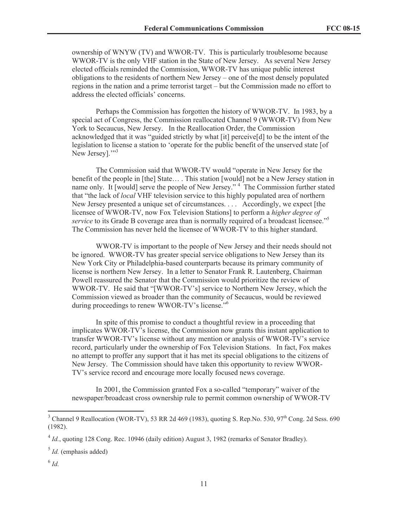ownership of WNYW (TV) and WWOR-TV. This is particularly troublesome because WWOR-TV is the only VHF station in the State of New Jersey. As several New Jersey elected officials reminded the Commission, WWOR-TV has unique public interest obligations to the residents of northern New Jersey – one of the most densely populated regions in the nation and a prime terrorist target – but the Commission made no effort to address the elected officials' concerns.

Perhaps the Commission has forgotten the history of WWOR-TV. In 1983, by a special act of Congress, the Commission reallocated Channel 9 (WWOR-TV) from New York to Secaucus, New Jersey. In the Reallocation Order, the Commission acknowledged that it was "guided strictly by what [it] perceive[d] to be the intent of the legislation to license a station to 'operate for the public benefit of the unserved state [of New Jersey]."<sup>3</sup>

The Commission said that WWOR-TV would "operate in New Jersey for the benefit of the people in [the] State… . This station [would] not be a New Jersey station in name only. It [would] serve the people of New Jersey."<sup>4</sup> The Commission further stated that "the lack of *local* VHF television service to this highly populated area of northern New Jersey presented a unique set of circumstances. . . . Accordingly, we expect [the licensee of WWOR-TV, now Fox Television Stations] to perform a *higher degree of service* to its Grade B coverage area than is normally required of a broadcast licensee."<sup>5</sup> The Commission has never held the licensee of WWOR-TV to this higher standard.

WWOR-TV is important to the people of New Jersey and their needs should not be ignored. WWOR-TV has greater special service obligations to New Jersey than its New York City or Philadelphia-based counterparts because its primary community of license is northern New Jersey. In a letter to Senator Frank R. Lautenberg, Chairman Powell reassured the Senator that the Commission would prioritize the review of WWOR-TV. He said that "[WWOR-TV's] service to Northern New Jersey, which the Commission viewed as broader than the community of Secaucus, would be reviewed during proceedings to renew WWOR-TV's license."<sup>6</sup>

In spite of this promise to conduct a thoughtful review in a proceeding that implicates WWOR-TV's license, the Commission now grants this instant application to transfer WWOR-TV's license without any mention or analysis of WWOR-TV's service record, particularly under the ownership of Fox Television Stations. In fact, Fox makes no attempt to proffer any support that it has met its special obligations to the citizens of New Jersey. The Commission should have taken this opportunity to review WWOR-TV's service record and encourage more locally focused news coverage.

In 2001, the Commission granted Fox a so-called "temporary" waiver of the newspaper/broadcast cross ownership rule to permit common ownership of WWOR-TV

 $3$  Channel 9 Reallocation (WOR-TV), 53 RR 2d 469 (1983), quoting S. Rep.No. 530, 97<sup>th</sup> Cong. 2d Sess. 690 (1982).

<sup>&</sup>lt;sup>4</sup> *Id.*, quoting 128 Cong. Rec. 10946 (daily edition) August 3, 1982 (remarks of Senator Bradley).

<sup>5</sup> *Id.* (emphasis added)

<sup>6</sup> *Id.*